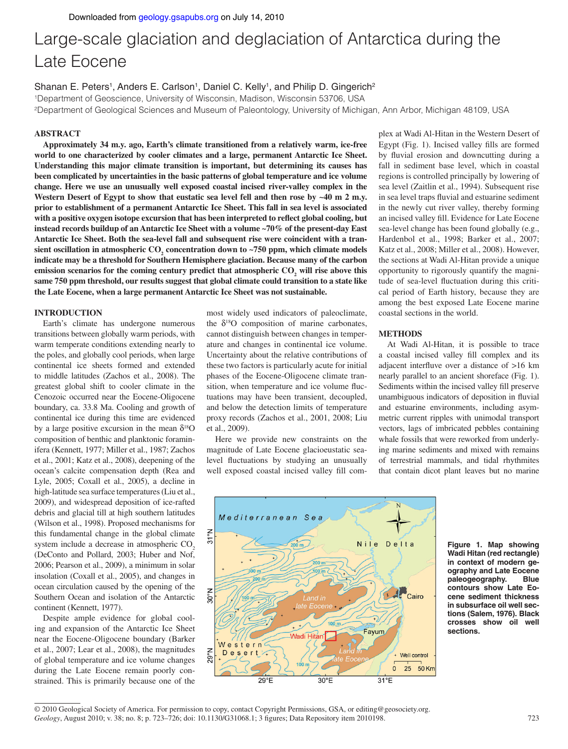# Large-scale glaciation and deglaciation of Antarctica during the Late Eocene

Shanan E. Peters<sup>1</sup>, Anders E. Carlson<sup>1</sup>, Daniel C. Kelly<sup>1</sup>, and Philip D. Gingerich<sup>2</sup>

1Department of Geoscience, University of Wisconsin, Madison, Wisconsin 53706, USA

2Department of Geological Sciences and Museum of Paleontology, University of Michigan, Ann Arbor, Michigan 48109, USA

# **ABSTRACT**

**Approximately 34 m.y. ago, Earth's climate transitioned from a relatively warm, ice-free world to one characterized by cooler climates and a large, permanent Antarctic Ice Sheet. Understanding this major climate transition is important, but determining its causes has been complicated by uncertainties in the basic patterns of global temperature and ice volume change. Here we use an unusually well exposed coastal incised river-valley complex in the**  Western Desert of Egypt to show that eustatic sea level fell and then rose by ~40 m 2 m.y. **prior to establishment of a permanent Antarctic Ice Sheet. This fall in sea level is associated**  with a positive oxygen isotope excursion that has been interpreted to reflect global cooling, but **instead records buildup of an Antarctic Ice Sheet with a volume ~70% of the present-day East Antarctic Ice Sheet. Both the sea-level fall and subsequent rise were coincident with a tran**sient oscillation in atmospheric CO<sub>2</sub> concentration down to ~750 ppm, which climate models **indicate may be a threshold for Southern Hemisphere glaciation. Because many of the carbon**  emission scenarios for the coming century predict that atmospheric  $CO_2$  will rise above this **same 750 ppm threshold, our results suggest that global climate could transition to a state like the Late Eocene, when a large permanent Antarctic Ice Sheet was not sustainable.** 

## **INTRODUCTION**

Earth's climate has undergone numerous transitions between globally warm periods, with warm temperate conditions extending nearly to the poles, and globally cool periods, when large continental ice sheets formed and extended to middle latitudes (Zachos et al., 2008). The greatest global shift to cooler climate in the Cenozoic occurred near the Eocene-Oligocene boundary, ca. 33.8 Ma. Cooling and growth of continental ice during this time are evidenced by a large positive excursion in the mean  $\delta^{18}O$ composition of benthic and planktonic foraminifera (Kennett, 1977; Miller et al., 1987; Zachos et al., 2001; Katz et al., 2008), deepening of the ocean's calcite compensation depth (Rea and Lyle, 2005; Coxall et al., 2005), a decline in high-latitude sea surface temperatures (Liu et al., 2009), and widespread deposition of ice-rafted debris and glacial till at high southern latitudes (Wilson et al., 1998). Proposed mechanisms for this fundamental change in the global climate system include a decrease in atmospheric CO<sub>2</sub> (DeConto and Pollard, 2003; Huber and Nof, 2006; Pearson et al., 2009), a minimum in solar insolation (Coxall et al., 2005), and changes in ocean circulation caused by the opening of the Southern Ocean and isolation of the Antarctic continent (Kennett, 1977).

Despite ample evidence for global cooling and expansion of the Antarctic Ice Sheet near the Eocene-Oligocene boundary (Barker et al., 2007; Lear et al., 2008), the magnitudes of global temperature and ice volume changes during the Late Eocene remain poorly constrained. This is primarily because one of the

most widely used indicators of paleoclimate, the  $\delta^{18}$ O composition of marine carbonates, cannot distinguish between changes in temperature and changes in continental ice volume. Uncertainty about the relative contributions of these two factors is particularly acute for initial phases of the Eocene-Oligocene climate transition, when temperature and ice volume fluctuations may have been transient, decoupled, and below the detection limits of temperature proxy records (Zachos et al., 2001, 2008; Liu et al., 2009).

Here we provide new constraints on the magnitude of Late Eocene glacioeustatic sealevel fluctuations by studying an unusually well exposed coastal incised valley fill com-

plex at Wadi Al-Hitan in the Western Desert of Egypt (Fig. 1). Incised valley fills are formed by fluvial erosion and downcutting during a fall in sediment base level, which in coastal regions is controlled principally by lowering of sea level (Zaitlin et al., 1994). Subsequent rise in sea level traps fluvial and estuarine sediment in the newly cut river valley, thereby forming an incised valley fill. Evidence for Late Eocene sea-level change has been found globally (e.g., Hardenbol et al., 1998; Barker et al., 2007; Katz et al., 2008; Miller et al., 2008). However, the sections at Wadi Al-Hitan provide a unique opportunity to rigorously quantify the magnitude of sea-level fluctuation during this critical period of Earth history, because they are among the best exposed Late Eocene marine coastal sections in the world.

#### **METHODS**

At Wadi Al-Hitan, it is possible to trace a coastal incised valley fill complex and its adjacent interfluve over a distance of  $>16$  km nearly parallel to an ancient shoreface (Fig. 1). Sediments within the incised valley fill preserve unambiguous indicators of deposition in fluvial and estuarine environments, including asymmetric current ripples with unimodal transport vectors, lags of imbricated pebbles containing whale fossils that were reworked from underlying marine sediments and mixed with remains of terrestrial mammals, and tidal rhythmites that contain dicot plant leaves but no marine



**Figure 1. Map showing Wadi Hitan (red rectangle) in context of modern geography and Late Eocene paleogeography. Blue contours show Late Eocene sediment thickness in subsurface oil well sections (Salem, 1976). Black crosses show oil well sections.**

*Geology*, August 2010; v. 38; no. 8; p. 723–726; doi: 10.1130/G31068.1; 3 figures; Data Repository item 2010198. 723 © 2010 Geological Society of America. For permission to copy, contact Copyright Permissions, GSA, or editing@geosociety.org.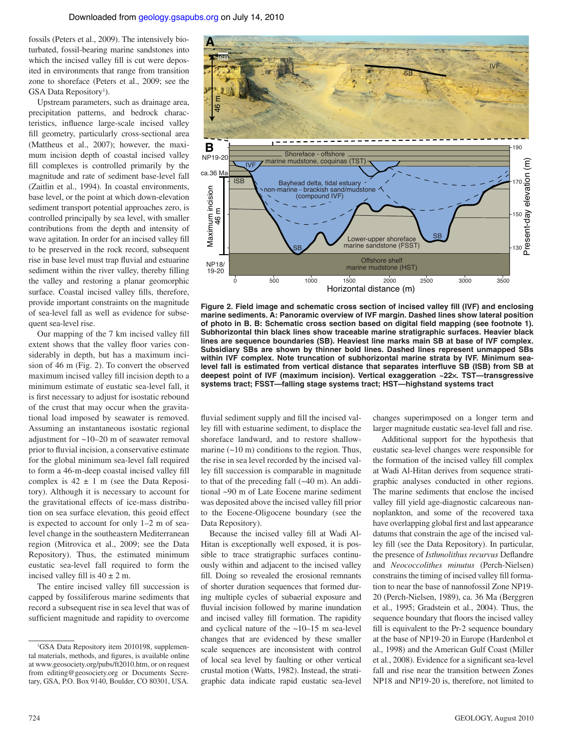fossils (Peters et al., 2009). The intensively bioturbated, fossil-bearing marine sandstones into which the incised valley fill is cut were deposited in environments that range from transition zone to shoreface (Peters et al., 2009; see the GSA Data Repository<sup>1</sup>).

Upstream parameters, such as drainage area, precipitation patterns, and bedrock characteristics, influence large-scale incised valley fill geometry, particularly cross-sectional area (Mattheus et al., 2007); however, the maximum incision depth of coastal incised valley fill complexes is controlled primarily by the magnitude and rate of sediment base-level fall (Zaitlin et al., 1994). In coastal environments, base level, or the point at which down-elevation sediment transport potential approaches zero, is controlled principally by sea level, with smaller contributions from the depth and intensity of wave agitation. In order for an incised valley fill to be preserved in the rock record, subsequent rise in base level must trap fluvial and estuarine sediment within the river valley, thereby filling the valley and restoring a planar geomorphic surface. Coastal incised valley fills, therefore, provide important constraints on the magnitude of sea-level fall as well as evidence for subsequent sea-level rise.

Our mapping of the 7 km incised valley fill extent shows that the valley floor varies considerably in depth, but has a maximum incision of 46 m (Fig. 2). To convert the observed maximum incised valley fill incision depth to a minimum estimate of eustatic sea-level fall, it is first necessary to adjust for isostatic rebound of the crust that may occur when the gravitational load imposed by seawater is removed. Assuming an instantaneous isostatic regional adjustment for ~10–20 m of seawater removal prior to fluvial incision, a conservative estimate for the global minimum sea-level fall required to form a 46-m-deep coastal incised valley fill complex is  $42 \pm 1$  m (see the Data Repository). Although it is necessary to account for the gravitational effects of ice-mass distribution on sea surface elevation, this geoid effect is expected to account for only 1–2 m of sealevel change in the southeastern Mediterranean region (Mitrovica et al., 2009; see the Data Repository). Thus, the estimated minimum eustatic sea-level fall required to form the incised valley fill is  $40 \pm 2$  m.

The entire incised valley fill succession is capped by fossiliferous marine sediments that record a subsequent rise in sea level that was of sufficient magnitude and rapidity to overcome



Figure 2. Field image and schematic cross section of incised valley fill (IVF) and enclosing **marine sediments. A: Panoramic overview of IVF margin. Dashed lines show lateral position**  of photo in B. B: Schematic cross section based on digital field mapping (see footnote 1). **Subhorizontal thin black lines show traceable marine stratigraphic surfaces. Heavier black lines are sequence boundaries (SB). Heaviest line marks main SB at base of IVF complex. Subsidiary SBs are shown by thinner bold lines. Dashed lines represent unmapped SBs within IVF complex. Note truncation of subhorizontal marine strata by IVF. Minimum sea**level fall is estimated from vertical distance that separates interfluve SB (ISB) from SB at **deepest point of IVF (maximum incision). Vertical exaggeration ~22**×**. TST—transgressive systems tract; FSST—falling stage systems tract; HST—highstand systems tract**

fluvial sediment supply and fill the incised valley fill with estuarine sediment, to displace the shoreface landward, and to restore shallowmarine  $(-10 \text{ m})$  conditions to the region. Thus, the rise in sea level recorded by the incised valley fill succession is comparable in magnitude to that of the preceding fall  $(-40 \text{ m})$ . An additional ~90 m of Late Eocene marine sediment was deposited above the incised valley fill prior to the Eocene-Oligocene boundary (see the Data Repository).

Because the incised valley fill at Wadi Al-Hitan is exceptionally well exposed, it is possible to trace stratigraphic surfaces continuously within and adjacent to the incised valley fill. Doing so revealed the erosional remnants of shorter duration sequences that formed during multiple cycles of subaerial exposure and fluvial incision followed by marine inundation and incised valley fill formation. The rapidity and cyclical nature of the ~10–15 m sea-level changes that are evidenced by these smaller scale sequences are inconsistent with control of local sea level by faulting or other vertical crustal motion (Watts, 1982). Instead, the stratigraphic data indicate rapid eustatic sea-level changes superimposed on a longer term and larger magnitude eustatic sea-level fall and rise.

Additional support for the hypothesis that eustatic sea-level changes were responsible for the formation of the incised valley fill complex at Wadi Al-Hitan derives from sequence stratigraphic analyses conducted in other regions. The marine sediments that enclose the incised valley fill yield age-diagnostic calcareous nannoplankton, and some of the recovered taxa have overlapping global first and last appearance datums that constrain the age of the incised valley fill (see the Data Repository). In particular, the presence of *Isthmolithus recurvus* Deflandre and *Neococcolithes minutus* (Perch-Nielsen) constrains the timing of incised valley fill formation to near the base of nannofossil Zone NP19- 20 (Perch-Nielsen, 1989), ca. 36 Ma (Berggren et al., 1995; Gradstein et al., 2004). Thus, the sequence boundary that floors the incised valley fill is equivalent to the Pr-2 sequence boundary at the base of NP19-20 in Europe (Hardenbol et al., 1998) and the American Gulf Coast (Miller et al., 2008). Evidence for a significant sea-level fall and rise near the transition between Zones NP18 and NP19-20 is, therefore, not limited to

<sup>&</sup>lt;sup>1</sup>GSA Data Repository item 2010198, supplemental materials, methods, and figures, is available online at www.geosociety.org/pubs/ft2010.htm, or on request from editing@geosociety.org or Documents Secretary, GSA, P.O. Box 9140, Boulder, CO 80301, USA.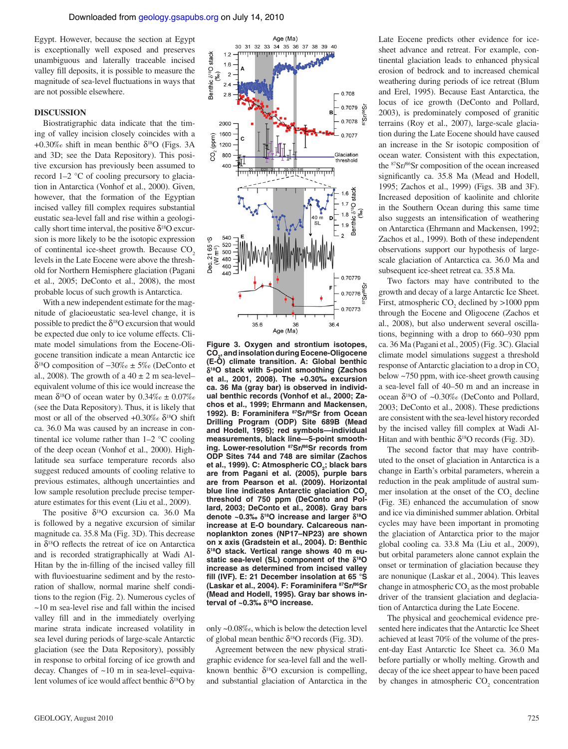Egypt. However, because the section at Egypt is exceptionally well exposed and preserves unambiguous and laterally traceable incised valley fill deposits, it is possible to measure the magnitude of sea-level fluctuations in ways that are not possible elsewhere.

# **DISCUSSION**

Biostratigraphic data indicate that the timing of valley incision closely coincides with a +0.30‰ shift in mean benthic  $\delta^{18}$ O (Figs. 3A and 3D; see the Data Repository). This positive excursion has previously been assumed to record 1–2 °C of cooling precursory to glaciation in Antarctica (Vonhof et al., 2000). Given, however, that the formation of the Egyptian incised valley fill complex requires substantial eustatic sea-level fall and rise within a geologically short time interval, the positive  $\delta^{18}$ O excursion is more likely to be the isotopic expression of continental ice-sheet growth. Because CO<sub>2</sub> levels in the Late Eocene were above the threshold for Northern Hemisphere glaciation (Pagani et al., 2005; DeConto et al., 2008), the most probable locus of such growth is Antarctica.

With a new independent estimate for the magnitude of glacioeustatic sea-level change, it is possible to predict the  $\delta^{18}$ O excursion that would be expected due only to ice volume effects. Climate model simulations from the Eocene-Oligocene transition indicate a mean Antarctic ice δ18O composition of −30‰ ± 5‰ (DeConto et al., 2008). The growth of a  $40 \pm 2$  m sea-level– equivalent volume of this ice would increase the mean  $\delta^{18}$ O of ocean water by  $0.34\%$ <sub>o</sub> ±  $0.07\%$ <sub>o</sub> (see the Data Repository). Thus, it is likely that most or all of the observed +0.30‰  $\delta^{18}O$  shift ca. 36.0 Ma was caused by an increase in continental ice volume rather than  $1-2$  °C cooling of the deep ocean (Vonhof et al., 2000). Highlatitude sea surface temperature records also suggest reduced amounts of cooling relative to previous estimates, although uncertainties and low sample resolution preclude precise temperature estimates for this event (Liu et al., 2009).

The positive δ18O excursion ca. 36.0 Ma is followed by a negative excursion of similar magnitude ca. 35.8 Ma (Fig. 3D). This decrease in  $\delta^{18}$ O reflects the retreat of ice on Antarctica and is recorded stratigraphically at Wadi Al-Hitan by the in-filling of the incised valley fill with fluvioestuarine sediment and by the restoration of shallow, normal marine shelf conditions to the region (Fig. 2). Numerous cycles of  $\sim$ 10 m sea-level rise and fall within the incised valley fill and in the immediately overlying marine strata indicate increased volatility in sea level during periods of large-scale Antarctic glaciation (see the Data Repository), possibly in response to orbital forcing of ice growth and decay. Changes of ~10 m in sea-level–equivalent volumes of ice would affect benthic  $\delta^{18}$ O by



**Figure 3. Oxygen and strontium isotopes, CO2, and insolation during Eocene-Oligocene (E-O) climate transition. A: Global benthic**  δ**18O stack with 5-point smoothing (Zachos et al., 2001, 2008). The +0.30‰ excursion ca. 36 Ma (gray bar) is observed in individual benthic records (Vonhof et al., 2000; Zachos et al., 1999; Ehrmann and Mackensen, 1992). B: Foraminifera 87Sr/86Sr from Ocean Drilling Program (ODP) Site 689B (Mead and Hodell, 1995); red symbols—individual measurements, black line—5-point smoothing. Lower-resolution 87Sr/86Sr records from ODP Sites 744 and 748 are similar (Zachos**  et al., 1999). C: Atmospheric CO<sub>2</sub>; black bars **are from Pagani et al. (2005), purple bars are from Pearson et al. (2009). Horizontal**  blue line indicates Antarctic glaciation CO<sub>2</sub> **threshold of 750 ppm (DeConto and Pollard, 2003; DeConto et al., 2008). Gray bars denote ~0.3‰** δ**18O increase and larger** δ**18O increase at E-O boundary. Calcareous nannoplankton zones (NP17–NP23) are shown on x axis (Gradstein et al., 2004). D: Benthic**  δ**18O stack. Vertical range shows 40 m eustatic sea-level (SL) component of the** δ**18O increase as determined from incised valley**  fill (IVF). E: 21 December insolation at 65 °S **(Laskar et al., 2004). F: Foraminifera 87Sr/86Sr (Mead and Hodell, 1995). Gray bar shows interval of ~0.3‰** δ**18O increase.**

only ~0.08‰, which is below the detection level of global mean benthic  $\delta^{18}$ O records (Fig. 3D).

Agreement between the new physical stratigraphic evidence for sea-level fall and the wellknown benthic  $\delta^{18}$ O excursion is compelling, and substantial glaciation of Antarctica in the

Late Eocene predicts other evidence for icesheet advance and retreat. For example, continental glaciation leads to enhanced physical erosion of bedrock and to increased chemical weathering during periods of ice retreat (Blum and Erel, 1995). Because East Antarctica, the locus of ice growth (DeConto and Pollard, 2003), is predominately composed of granitic terrains (Roy et al., 2007), large-scale glaciation during the Late Eocene should have caused an increase in the Sr isotopic composition of ocean water. Consistent with this expectation, the 87Sr/86Sr composition of the ocean increased significantly ca. 35.8 Ma (Mead and Hodell, 1995; Zachos et al., 1999) (Figs. 3B and 3F). Increased deposition of kaolinite and chlorite in the Southern Ocean during this same time also suggests an intensification of weathering on Antarctica (Ehrmann and Mackensen, 1992; Zachos et al., 1999). Both of these independent observations support our hypothesis of largescale glaciation of Antarctica ca. 36.0 Ma and subsequent ice-sheet retreat ca. 35.8 Ma.

Two factors may have contributed to the growth and decay of a large Antarctic Ice Sheet. First, atmospheric  $CO_2$  declined by  $>1000$  ppm through the Eocene and Oligocene (Zachos et al., 2008), but also underwent several oscillations, beginning with a drop to 660–930 ppm ca. 36 Ma (Pagani et al., 2005) (Fig. 3C). Glacial climate model simulations suggest a threshold response of Antarctic glaciation to a drop in CO<sub>2</sub> below ~750 ppm, with ice-sheet growth causing a sea-level fall of 40–50 m and an increase in ocean  $\delta^{18}$ O of ~0.30‰ (DeConto and Pollard, 2003; DeConto et al., 2008). These predictions are consistent with the sea-level history recorded by the incised valley fill complex at Wadi Al-Hitan and with benthic  $\delta^{18}O$  records (Fig. 3D).

The second factor that may have contributed to the onset of glaciation in Antarctica is a change in Earth's orbital parameters, wherein a reduction in the peak amplitude of austral summer insolation at the onset of the  $CO<sub>2</sub>$  decline (Fig. 3E) enhanced the accumulation of snow and ice via diminished summer ablation. Orbital cycles may have been important in promoting the glaciation of Antarctica prior to the major global cooling ca. 33.8 Ma (Liu et al., 2009), but orbital parameters alone cannot explain the onset or termination of glaciation because they are nonunique (Laskar et al., 2004). This leaves change in atmospheric  $CO<sub>2</sub>$  as the most probable driver of the transient glaciation and deglaciation of Antarctica during the Late Eocene.

The physical and geochemical evidence presented here indicates that the Antarctic Ice Sheet achieved at least 70% of the volume of the present-day East Antarctic Ice Sheet ca. 36.0 Ma before partially or wholly melting. Growth and decay of the ice sheet appear to have been paced by changes in atmospheric  $CO<sub>2</sub>$  concentration